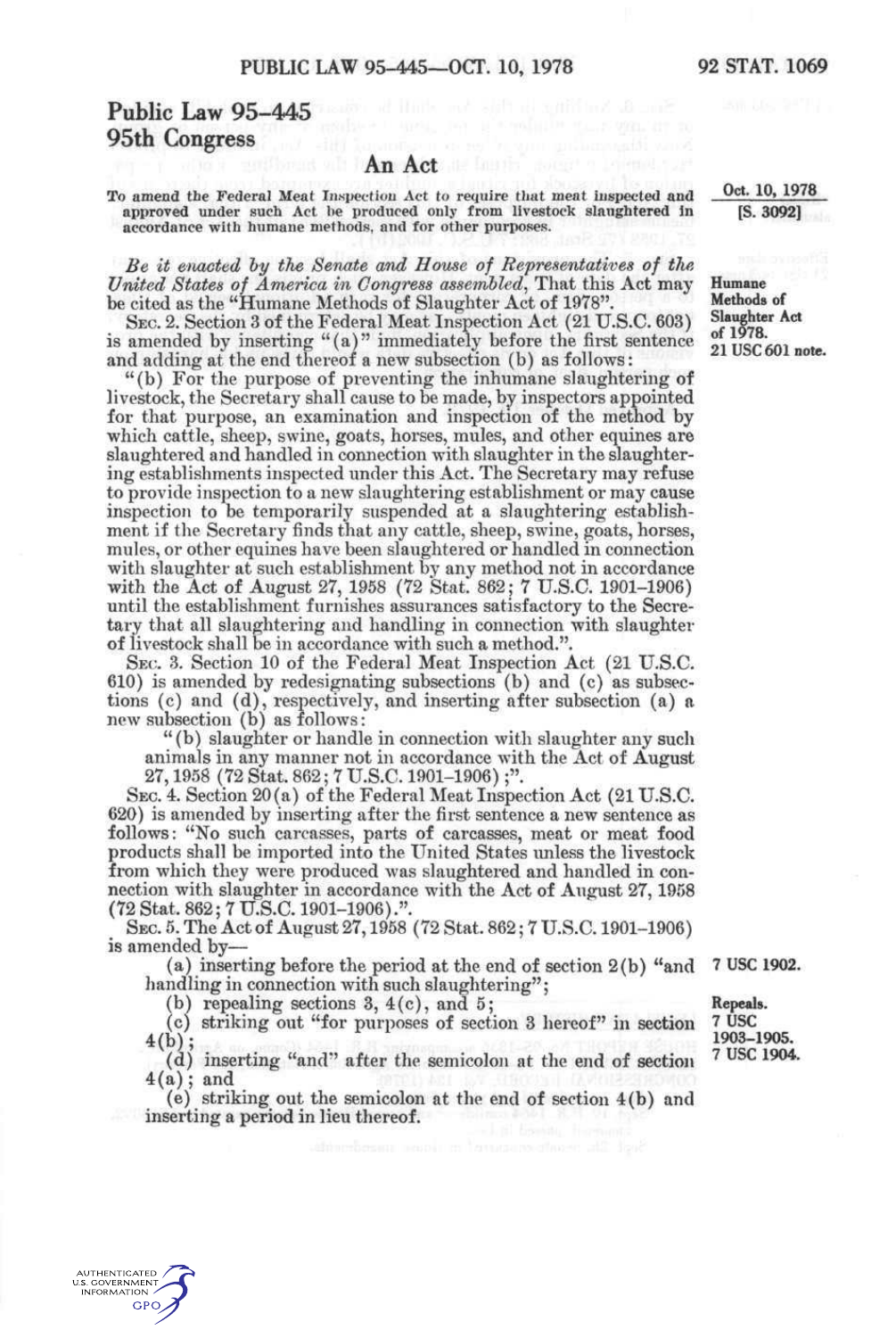## Public Law 95-445 and the second second second second second 95th Congress

## An Act

To amend the Federal Meat Insyeetiou Act to require that meat mspected **and**  approved under such Act he produced only from livestock **slaughtered** in accordance with humane methods, and for other purposes.

*Be it enacted hy the Senate and House of Representatives of the United States of America in Congress assembled^* That this Act may be cited as the "Humane Methods of Slaughter Act of 1978".

SEC. 2. Section 3 of the Federal Meat Inspection Act (21 U.S.C. 603) is amended by inserting "(a) " immediately before the first sentence and adding at the end thereof a new subsection (b) as follows:

"(b) For the purpose of preventing the inhumane slaughtering of livestock, the Secretary shall cause to be made, by inspectors appointed for that purpose, an examination and inspection of the method by which cattle, sheep, swine, goats, horses, mules, and other equines are slaughtered and handled in connection with slaughter in the slaughtering establishments inspected under this Act. The Secretary may refuse to provide inspection to a new slaughtering establishment or may cause inspection to be temporarily suspended at a slaughtering establishment if the Secretary finds that any cattle, sheep, swine, goats, horses, mules, or other equines have been slaughtered or handled in connection with slaughter at such establishment by any method not in accordance with the Act of August 27, 1958 (72 Stat. 862; 7 U.S.C. 1901-1906) until the establishment furnishes assurances satisfactory to the Secretary that all slaughtering and handling in connection with slaughter of livestock shall be in accordance with such a method.".

SEC. 3. Section 10 of the Federal Meat Inspection Act (21 U.S.C. 610) is amended by redesignating subsections (b) and (c) as subsections (c) and (d), respectively, and inserting after subsection (a) a new subsection (b) as follows:

" (b) slaughter or handle in connection with slaughter any such animals in any manner not in accordance with the Act of August 27,1958 (72 Stat. 862; 7 U.S.C. 1901-1906);".

SEC. 4. Section 20(a) of the Federal Meat Inspection Act (21 U.S.C. 620) is amended by inserting after the first sentence a new sentence as follows: "No such carcasses, parts of carcasses, meat or meat food products shall be imported into the United States unless the livestock from which they were produced was slaughtered and handled in connection with slaughter in accordance with the Act of August 27,1958 (72 Stat. 862; 7 U.S.C. 1901-1906).".

SEC. 5. The Act of August 27,1958 (72 Stat. 862; 7 U.S.C. 1901-1906) is amended by—

(a) inserting before the period at the end of section 2(b) "and handling in connection with such slaughtering";

(b) repealing sections  $3, 4(c)$ , and  $5$ ;

AUTHENTICATED U.S. GOVERNMENT INFORMATION **GPO** 

(c) striking out "for purposes of section 3 hereof" in section  $4(b)$ ;

(d) 4(a); inserting "and" after the semicolon at the end of section and

(e) striking out the semicolon at the end of section 4(b) and inserting a period in lieu thereof.

**7 use 1902. Repeals.** 

1903-1905. **1903-1905. 7 us e 1904.** 

**Oct. 10, 1978 [S. 3092]** 

**Humane Methods of Slaughter Act of 1978. 21 use 601 note.**